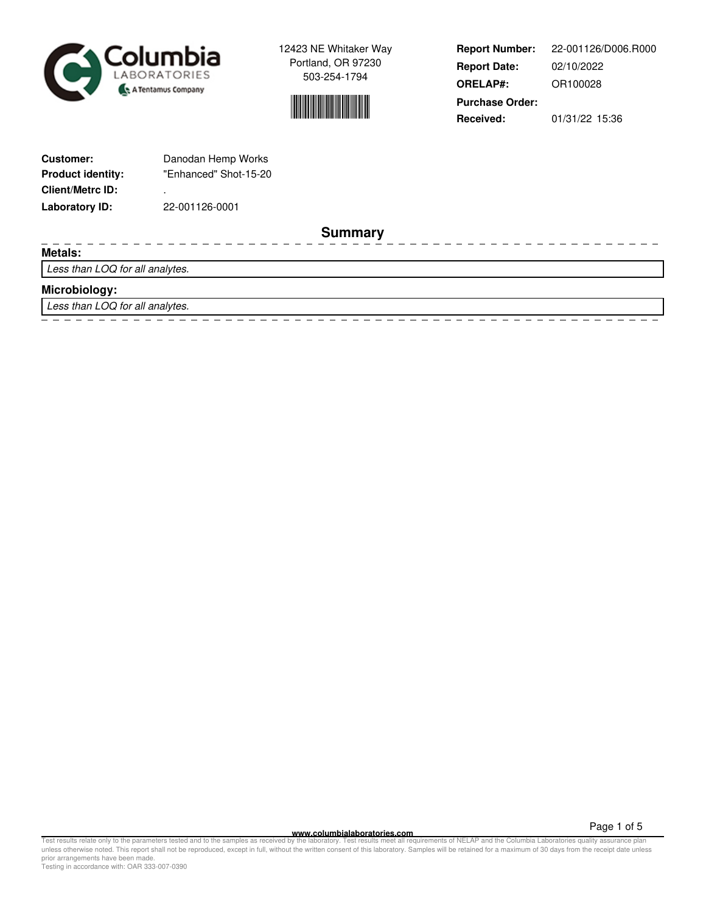



**Report Number: Report Date: ORELAP#:** 02/10/2022 OR100028 **Received:** 01/31/22 15:36 **Purchase Order:** 22-001126/D006.R000

| <b>Customer:</b>         | Danodan Hemp Works    |
|--------------------------|-----------------------|
| <b>Product identity:</b> | "Enhanced" Shot-15-20 |
| <b>Client/Metrc ID:</b>  | ٠                     |
| Laboratory ID:           | 22-001126-0001        |

**Summary**

**Metals:**

Less than LOQ for all analytes.

## **Microbiology:**

Less than LOQ for all analytes.

**www.columbialaboratories.com**

Page 1 of 5

Test results relate only to the parameters tested and to the samples as received by the laboratory. Test results meet all requirements of NELAP and the Columbia Laboratories quality assurance plan<br>unless otherwise noted. T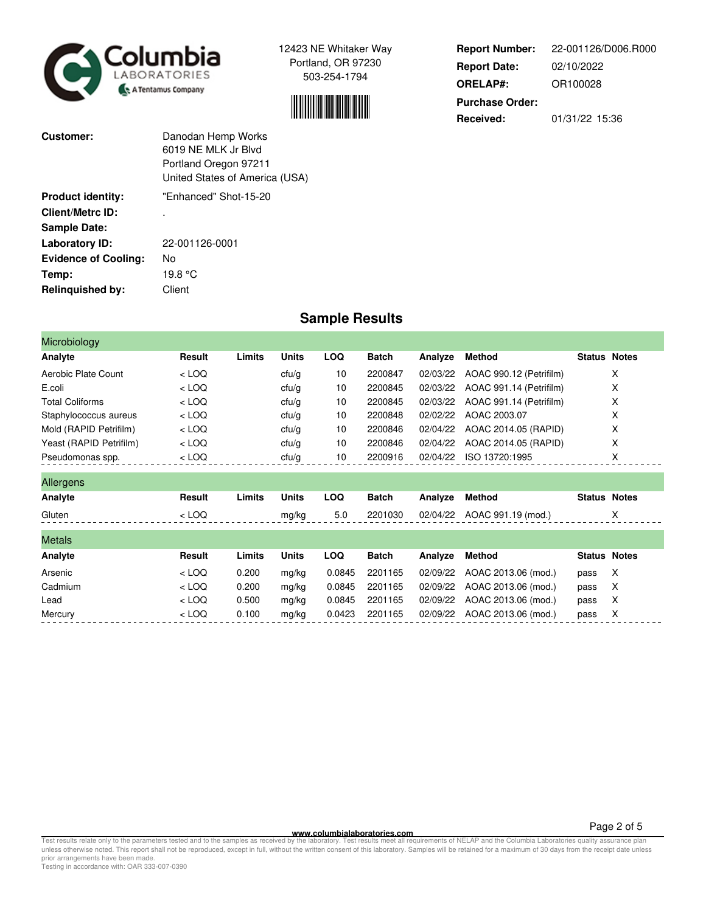



**Report Number: Report Date: ORELAP#:** 02/10/2022 OR100028 **Received:** 01/31/22 15:36 **Purchase Order:** 22-001126/D006.R000

| Customer:                   | Danodan Hemp Works<br>6019 NE MLK Jr Blvd<br>Portland Oregon 97211<br>United States of America (USA) |
|-----------------------------|------------------------------------------------------------------------------------------------------|
| <b>Product identity:</b>    | "Fnhanced" Shot-15-20                                                                                |
| Client/Metrc ID:            |                                                                                                      |
| <b>Sample Date:</b>         |                                                                                                      |
| <b>Laboratory ID:</b>       | 22-001126-0001                                                                                       |
| <b>Evidence of Cooling:</b> | No                                                                                                   |
| Temp:                       | 19.8 °C                                                                                              |
| Relinquished by:            | Client                                                                                               |

## **Sample Results**

| Microbiology            |         |        |              |            |              |          |                         |                     |   |
|-------------------------|---------|--------|--------------|------------|--------------|----------|-------------------------|---------------------|---|
| Analyte                 | Result  | Limits | <b>Units</b> | <b>LOQ</b> | <b>Batch</b> | Analyze  | <b>Method</b>           | <b>Status Notes</b> |   |
| Aerobic Plate Count     | $<$ LOQ |        | ctu/g        | 10         | 2200847      | 02/03/22 | AOAC 990.12 (Petrifilm) |                     | X |
| E.coli                  | $<$ LOQ |        | ctu/g        | 10         | 2200845      | 02/03/22 | AOAC 991.14 (Petrifilm) |                     | Х |
| <b>Total Coliforms</b>  | $<$ LOQ |        | ctu/g        | 10         | 2200845      | 02/03/22 | AOAC 991.14 (Petrifilm) |                     | X |
| Staphylococcus aureus   | $<$ LOQ |        | ctu/g        | 10         | 2200848      | 02/02/22 | AOAC 2003.07            |                     | X |
| Mold (RAPID Petrifilm)  | $<$ LOQ |        | ctu/g        | 10         | 2200846      | 02/04/22 | AOAC 2014.05 (RAPID)    |                     | X |
| Yeast (RAPID Petrifilm) | $<$ LOQ |        | ctu/g        | 10         | 2200846      | 02/04/22 | AOAC 2014.05 (RAPID)    |                     | х |
| Pseudomonas spp.        | $<$ LOQ |        | ctu/g        | 10         | 2200916      | 02/04/22 | ISO 13720:1995          |                     | Χ |
| Allergens               |         |        |              |            |              |          |                         |                     |   |
| Analyte                 | Result  | Limits | <b>Units</b> | <b>LOQ</b> | <b>Batch</b> | Analyze  | <b>Method</b>           | <b>Status Notes</b> |   |
| Gluten                  | $<$ LOQ |        | mg/kg        | 5.0        | 2201030      | 02/04/22 | AOAC 991.19 (mod.)      |                     | X |
| <b>Metals</b>           |         |        |              |            |              |          |                         |                     |   |
| Analyte                 | Result  | Limits | <b>Units</b> | <b>LOQ</b> | <b>Batch</b> | Analyze  | <b>Method</b>           | <b>Status Notes</b> |   |
| Arsenic                 | $<$ LOQ | 0.200  | mg/kg        | 0.0845     | 2201165      | 02/09/22 | AOAC 2013.06 (mod.)     | pass                | X |
| Cadmium                 | $<$ LOQ | 0.200  | mg/kg        | 0.0845     | 2201165      | 02/09/22 | AOAC 2013.06 (mod.)     | pass                | X |
| Lead                    | $<$ LOQ | 0.500  | mg/kg        | 0.0845     | 2201165      | 02/09/22 | AOAC 2013.06 (mod.)     | pass                | X |
| Mercury                 | $<$ LOQ | 0.100  | mg/kg        | 0.0423     | 2201165      | 02/09/22 | AOAC 2013.06 (mod.)     | pass                | х |

**WWW.columbialaboratories.com**<br>unless otherwise noted. This report shall not be reproduced, except in full, without the varitten consent of this laboratory. Test results meet all requirements of NELAP and the Columbia Labo

Testing in accordance with: OAR 333-007-0390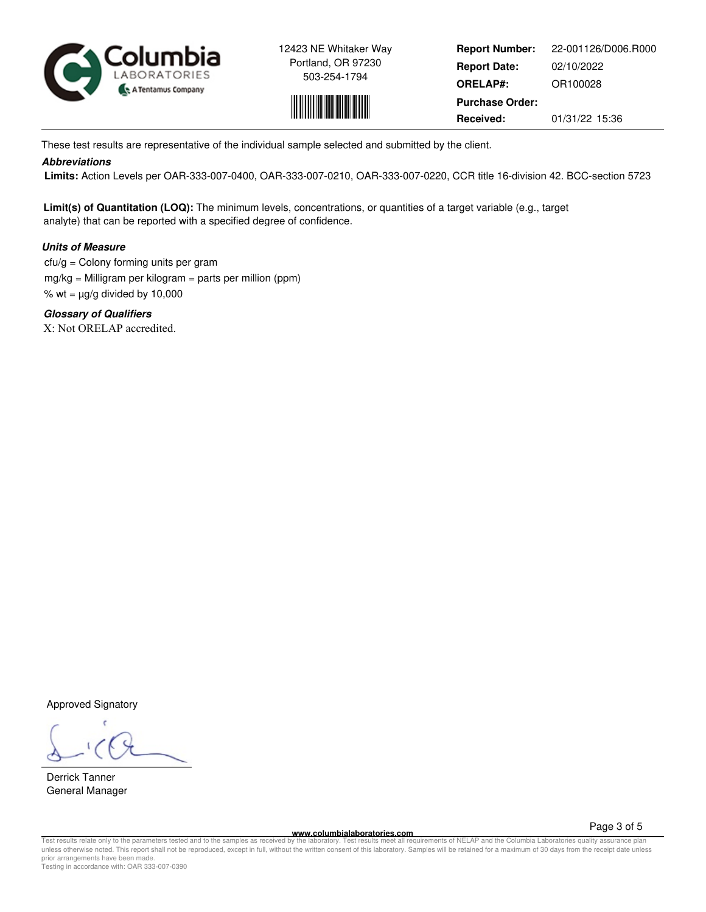



**Report Number: Report Date: ORELAP#:** 02/10/2022 OR100028 **Received:** 01/31/22 15:36 **Purchase Order:** 22-001126/D006.R000

These test results are representative of the individual sample selected and submitted by the client.

## **Abbreviations**

 **Limits:** Action Levels per OAR-333-007-0400, OAR-333-007-0210, OAR-333-007-0220, CCR title 16-division 42. BCC-section 5723

**Limit(s) of Quantitation (LOQ):** The minimum levels, concentrations, or quantities of a target variable (e.g., target analyte) that can be reported with a specified degree of confidence.

## **Units of Measure**

 $ctu/g =$  Colony forming units per gram mg/kg = Milligram per kilogram = parts per million (ppm) % wt =  $\mu$ g/g divided by 10,000

**Glossary of Qualifiers** X: Not ORELAP accredited.

Approved Signatory

Derrick Tanner General Manager

**www.columbialaboratories.com**

Page 3 of 5

Test results relate only to the parameters tested and to the samples as received by the laboratory. Test results meet all requirements of NELAP and the Columbia Laboratories quality assurance plan<br>unless otherwise noted. T prior arrangements have been made. Testing in accordance with: OAR 333-007-0390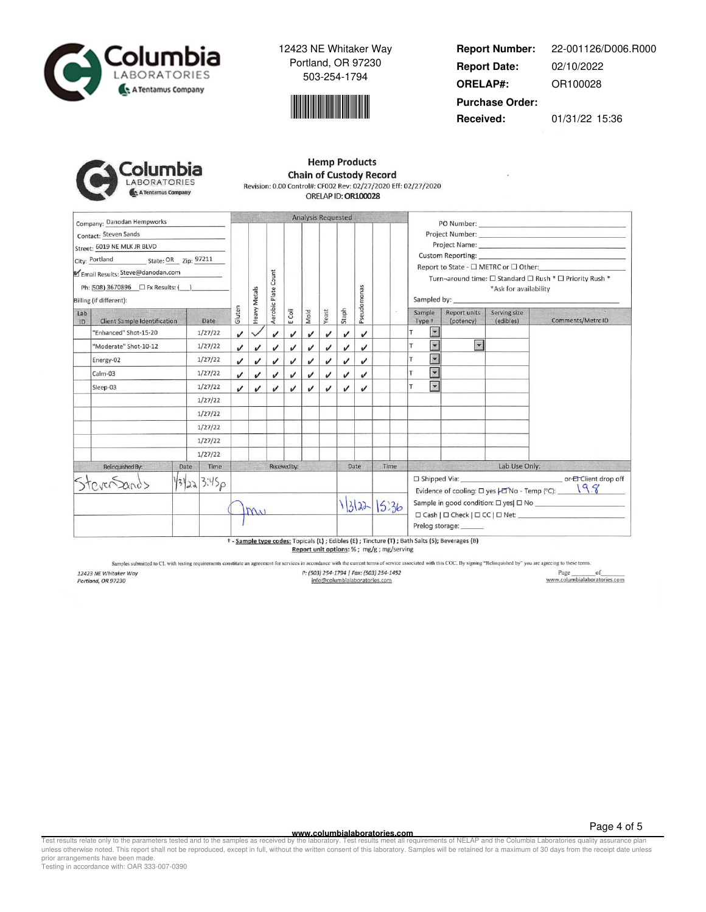



**Report Number: Report Date: ORELAP#:** 02/10/2022 OR100028 **Received:** 01/31/22 15:36 **Purchase Order:** 22-001126/D006.R000

| columbia           |
|--------------------|
| LABORATORIES       |
| A Tentamus Company |

| <b>Hemp Products</b>                                           |  |
|----------------------------------------------------------------|--|
| <b>Chain of Custody Record</b>                                 |  |
| Revision: 0.00 Control#: CF002 Rev: 02/27/2020 Eff: 02/27/2020 |  |
| ORELAP ID: OR100028                                            |  |

|                                                                                                                            | Company: Danodan Hempworks   |              |                            |                            |                    |                            | <b>Analysis Requested</b> |                            |                    |       |       |                                                                                                                                                                                    |                                                                                                                                                                                                                                     |                          |               |                   |  |
|----------------------------------------------------------------------------------------------------------------------------|------------------------------|--------------|----------------------------|----------------------------|--------------------|----------------------------|---------------------------|----------------------------|--------------------|-------|-------|------------------------------------------------------------------------------------------------------------------------------------------------------------------------------------|-------------------------------------------------------------------------------------------------------------------------------------------------------------------------------------------------------------------------------------|--------------------------|---------------|-------------------|--|
| Contact: Steven Sands<br>Street: 6019 NE MLK JR BLVD<br>Email Results: Steve@danodan.com<br>Billing (if different):<br>Lab |                              |              | Heavy Metals               | Count<br>Aerobic Plate     |                    |                            |                           |                            | Pseudomonas        |       |       | Report to State - □ METRC or □ Other:<br>Turn-around time: □ Standard □ Rush * □ Priority Rush *<br>*Ask for availability<br>Sampled by:<br>Sample<br>Report units<br>Serving size |                                                                                                                                                                                                                                     |                          |               |                   |  |
| ID                                                                                                                         | Client Sample Identification | Date         | Gluten                     |                            |                    | E Coli                     | Mold                      | Yeast                      | Staph              |       |       |                                                                                                                                                                                    | Type +                                                                                                                                                                                                                              | (potency)                | (edibles)     | Comments/Metrc ID |  |
|                                                                                                                            | 'Enhanced" Shot-15-20        | 1/27/22      | $\boldsymbol{\mathcal{U}}$ |                            | $\boldsymbol{\nu}$ | $\boldsymbol{\mathcal{U}}$ | ✓                         | $\checkmark$               | $\checkmark$       | J     |       |                                                                                                                                                                                    | $\blacksquare$                                                                                                                                                                                                                      |                          |               |                   |  |
|                                                                                                                            | "Moderate" Shot-10-12        | 1/27/22      | $\checkmark$               | $\checkmark$               | J                  | J                          | ✓                         | $\boldsymbol{\mathcal{U}}$ | J                  | J     |       |                                                                                                                                                                                    | $\blacktriangledown$                                                                                                                                                                                                                | $\overline{\phantom{0}}$ |               |                   |  |
|                                                                                                                            | Energy-02                    | 1/27/22      | J                          | $\checkmark$               | $\boldsymbol{\nu}$ | J                          | ✓                         | $\boldsymbol{\nu}$         | $\boldsymbol{\nu}$ | J     |       |                                                                                                                                                                                    | $\blacktriangledown$<br>T                                                                                                                                                                                                           |                          |               |                   |  |
|                                                                                                                            | Calm-03                      | 1/27/22      | $\boldsymbol{\mathcal{U}}$ | $\checkmark$               | J                  | v                          | v                         | ✓                          | $\checkmark$       | v     |       |                                                                                                                                                                                    | ×<br>T                                                                                                                                                                                                                              |                          |               |                   |  |
|                                                                                                                            | Sleep-03                     | 1/27/22      | J                          | $\boldsymbol{\mathcal{U}}$ | v                  | v                          | J                         | $\boldsymbol{\mathcal{U}}$ | ✓                  | v     |       |                                                                                                                                                                                    | $\ddot{\phantom{0}}$                                                                                                                                                                                                                |                          |               |                   |  |
|                                                                                                                            |                              | 1/27/22      |                            |                            |                    |                            |                           |                            |                    |       |       |                                                                                                                                                                                    |                                                                                                                                                                                                                                     |                          |               |                   |  |
|                                                                                                                            |                              | 1/27/22      |                            |                            |                    |                            |                           |                            |                    |       |       |                                                                                                                                                                                    |                                                                                                                                                                                                                                     |                          |               |                   |  |
|                                                                                                                            |                              | 1/27/22      |                            |                            |                    |                            |                           |                            |                    |       |       |                                                                                                                                                                                    |                                                                                                                                                                                                                                     |                          |               |                   |  |
|                                                                                                                            |                              | 1/27/22      |                            |                            |                    |                            |                           |                            |                    |       |       |                                                                                                                                                                                    |                                                                                                                                                                                                                                     |                          |               |                   |  |
|                                                                                                                            |                              | 1/27/22      |                            |                            |                    |                            |                           |                            |                    |       |       |                                                                                                                                                                                    |                                                                                                                                                                                                                                     |                          |               |                   |  |
|                                                                                                                            | Relinquished By:             | Time<br>Date |                            |                            |                    | Received by:               |                           |                            |                    | Date  | Time  |                                                                                                                                                                                    |                                                                                                                                                                                                                                     |                          | Lab Use Only: |                   |  |
|                                                                                                                            |                              | 13/22 3:45p  |                            | MV                         |                    |                            |                           |                            |                    | 13122 | 15.36 |                                                                                                                                                                                    | Evidence of cooling: $\Box$ yes $\Box$ No - Temp (°C): $\Box$ \cdots \cdots \cdots \cdots \cdots \cdots \cdots \cdots \cdots \cdots \cdots \cdots \cdots \cdots \cdots \cdots \cdots \cdots \cdots \cdots \cdots \cdots \cdots \cdo |                          |               |                   |  |
|                                                                                                                            |                              |              |                            |                            |                    |                            |                           |                            |                    |       |       |                                                                                                                                                                                    | Prelog storage:<br>t - Sample type codes: Topicals (L) ; Edibles (E) ; Tincture (T) ; Bath Salts (S); Beverages (B)                                                                                                                 |                          |               |                   |  |

Report unit options: % ; mg/g ; mg/serving

Samples submitted to CL with testing requirements constitute an agreement for services in accordance with the current terms of service associated with this COC. By signing "Relinquished by" you are agreeing to these terms.

12423 NE Whitaker Way<br>Portland, OR 97230

P: (503) 254-1794 | Fax: (503) 254-1452 info@columbialaboratories.com

 $\begin{tabular}{c} Page \hspace{0.2cm} of \\ \hline www.columbiaaboratories.com \\ \end{tabular}$ 

**WWW.columbialaboratories.com**<br>unless otherwise noted. This report shall not be reproduced, except in full, without the varitten consent of this laboratory. Test results meet all requirements of NELAP and the Columbia Labo